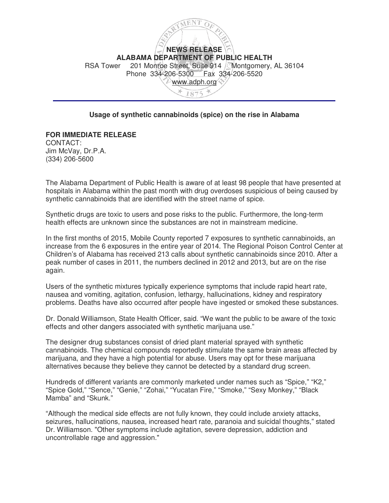

## **Usage of synthetic cannabinoids (spice) on the rise in Alabama**

**FOR IMMEDIATE RELEASE**  CONTACT: Jim McVay, Dr.P.A. (334) 206-5600

The Alabama Department of Public Health is aware of at least 98 people that have presented at hospitals in Alabama within the past month with drug overdoses suspicious of being caused by synthetic cannabinoids that are identified with the street name of spice.

Synthetic drugs are toxic to users and pose risks to the public. Furthermore, the long-term health effects are unknown since the substances are not in mainstream medicine.

In the first months of 2015, Mobile County reported 7 exposures to synthetic cannabinoids, an increase from the 6 exposures in the entire year of 2014. The Regional Poison Control Center at Children's of Alabama has received 213 calls about synthetic cannabinoids since 2010. After a peak number of cases in 2011, the numbers declined in 2012 and 2013, but are on the rise again.

Users of the synthetic mixtures typically experience symptoms that include rapid heart rate, nausea and vomiting, agitation, confusion, lethargy, hallucinations, kidney and respiratory problems. Deaths have also occurred after people have ingested or smoked these substances.

Dr. Donald Williamson, State Health Officer, said. "We want the public to be aware of the toxic effects and other dangers associated with synthetic marijuana use."

The designer drug substances consist of dried plant material sprayed with synthetic cannabinoids. The chemical compounds reportedly stimulate the same brain areas affected by marijuana, and they have a high potential for abuse. Users may opt for these marijuana alternatives because they believe they cannot be detected by a standard drug screen.

Hundreds of different variants are commonly marketed under names such as "Spice," "K2," "Spice Gold," "Sence," "Genie," "Zohai," "Yucatan Fire," "Smoke," "Sexy Monkey," "Black Mamba" and "Skunk."

"Although the medical side effects are not fully known, they could include anxiety attacks, seizures, hallucinations, nausea, increased heart rate, paranoia and suicidal thoughts," stated Dr. Williamson. "Other symptoms include agitation, severe depression, addiction and uncontrollable rage and aggression."